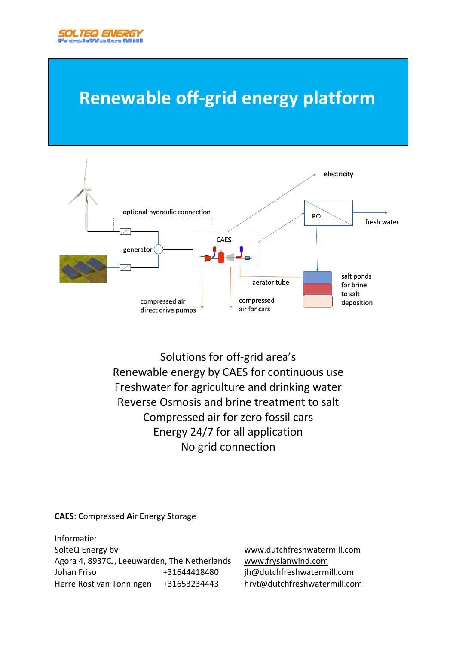

l

## **Renewable off-grid energy platform**



Solutions for off-grid area's Renewable energy by CAES for continuous use Freshwater for agriculture and drinking water Reverse Osmosis and brine treatment to salt Compressed air for zero fossil cars Energy 24/7 for all application No grid connection

#### **CAES**: **C**ompressed **A**ir **E**nergy **S**torage

Informatie: SolteQ Energy bv www.dutchfreshwatermill.com Agora 4, 8937CJ, Leeuwarden, The Netherlands www.fryslanwind.com Johan Friso +31644418480 jh@dutchfreshwatermill.com Herre Rost van Tonningen +31653234443 hrvt@dutchfreshwatermill.com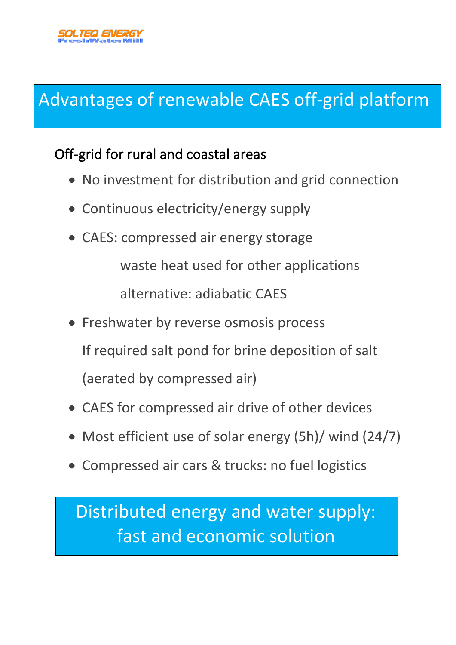

# Advantages of renewable CAES off-grid platform

### Off-grid for rural and coastal areas

- No investment for distribution and grid connection
- Continuous electricity/energy supply
- CAES: compressed air energy storage

waste heat used for other applications

alternative: adiabatic CAES

- Freshwater by reverse osmosis process
	- If required salt pond for brine deposition of salt

(aerated by compressed air)

- CAES for compressed air drive of other devices
- Most efficient use of solar energy (5h)/ wind (24/7)
- Compressed air cars & trucks: no fuel logistics

Distributed energy and water supply: fast and economic solution